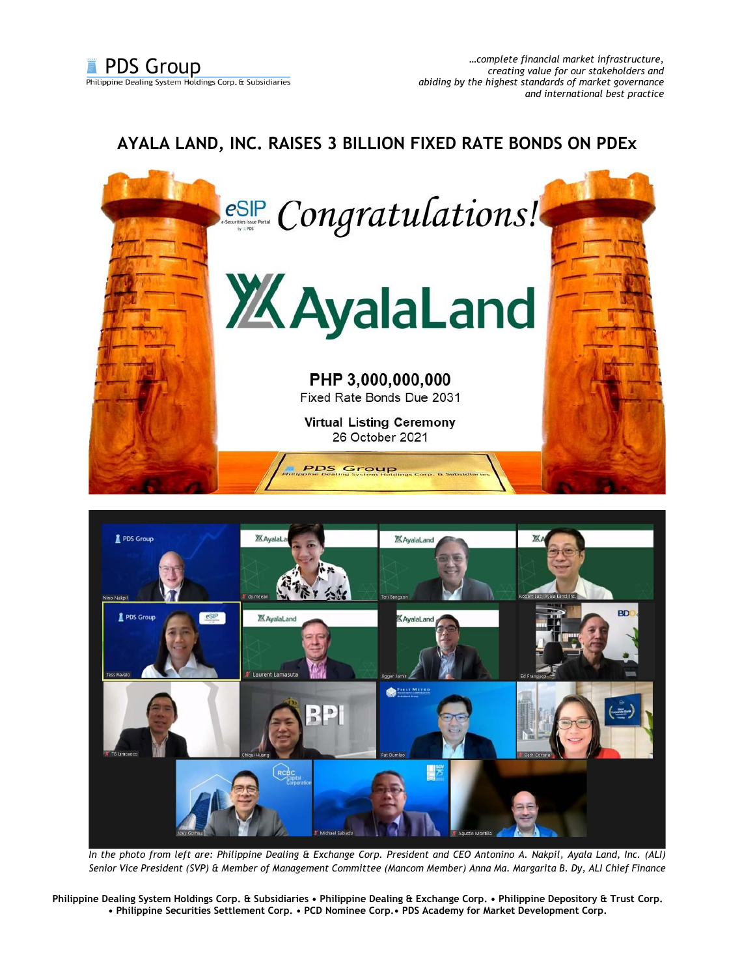## **AYALA LAND, INC. RAISES 3 BILLION FIXED RATE BONDS ON PDEx**





*In the photo from left are: Philippine Dealing & Exchange Corp. President and CEO Antonino A. Nakpil, Ayala Land, Inc. (ALI) Senior Vice President (SVP) & Member of Management Committee (Mancom Member) Anna Ma. Margarita B. Dy, ALI Chief Finance* 

**Philippine Dealing System Holdings Corp. & Subsidiaries • Philippine Dealing & Exchange Corp. • Philippine Depository & Trust Corp. • Philippine Securities Settlement Corp. • PCD Nominee Corp.• PDS Academy for Market Development Corp.**